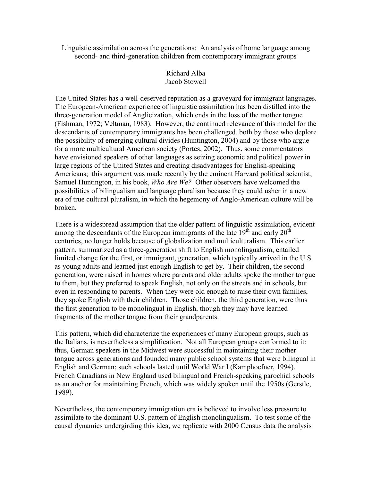Linguistic assimilation across the generations: An analysis of home language among second- and third-generation children from contemporary immigrant groups

# Richard Alba Jacob Stowell

The United States has a well-deserved reputation as a graveyard for immigrant languages. The European-American experience of linguistic assimilation has been distilled into the three-generation model of Anglicization, which ends in the loss of the mother tongue (Fishman, 1972; Veltman, 1983). However, the continued relevance of this model for the descendants of contemporary immigrants has been challenged, both by those who deplore the possibility of emerging cultural divides (Huntington, 2004) and by those who argue for a more multicultural American society (Portes, 2002). Thus, some commentators have envisioned speakers of other languages as seizing economic and political power in large regions of the United States and creating disadvantages for English-speaking Americans; this argument was made recently by the eminent Harvard political scientist, Samuel Huntington, in his book, Who Are We? Other observers have welcomed the possibilities of bilingualism and language pluralism because they could usher in a new era of true cultural pluralism, in which the hegemony of Anglo-American culture will be broken.

There is a widespread assumption that the older pattern of linguistic assimilation, evident among the descendants of the European immigrants of the late  $19<sup>th</sup>$  and early  $20<sup>th</sup>$ centuries, no longer holds because of globalization and multiculturalism. This earlier pattern, summarized as a three-generation shift to English monolingualism, entailed limited change for the first, or immigrant, generation, which typically arrived in the U.S. as young adults and learned just enough English to get by. Their children, the second generation, were raised in homes where parents and older adults spoke the mother tongue to them, but they preferred to speak English, not only on the streets and in schools, but even in responding to parents. When they were old enough to raise their own families, they spoke English with their children. Those children, the third generation, were thus the first generation to be monolingual in English, though they may have learned fragments of the mother tongue from their grandparents.

This pattern, which did characterize the experiences of many European groups, such as the Italians, is nevertheless a simplification. Not all European groups conformed to it: thus, German speakers in the Midwest were successful in maintaining their mother tongue across generations and founded many public school systems that were bilingual in English and German; such schools lasted until World War I (Kamphoefner, 1994). French Canadians in New England used bilingual and French-speaking parochial schools as an anchor for maintaining French, which was widely spoken until the 1950s (Gerstle, 1989).

Nevertheless, the contemporary immigration era is believed to involve less pressure to assimilate to the dominant U.S. pattern of English monolingualism. To test some of the causal dynamics undergirding this idea, we replicate with 2000 Census data the analysis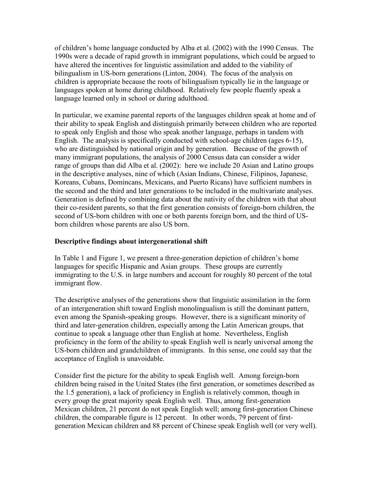of children's home language conducted by Alba et al. (2002) with the 1990 Census. The 1990s were a decade of rapid growth in immigrant populations, which could be argued to have altered the incentives for linguistic assimilation and added to the viability of bilingualism in US-born generations (Linton, 2004). The focus of the analysis on children is appropriate because the roots of bilingualism typically lie in the language or languages spoken at home during childhood. Relatively few people fluently speak a language learned only in school or during adulthood.

In particular, we examine parental reports of the languages children speak at home and of their ability to speak English and distinguish primarily between children who are reported to speak only English and those who speak another language, perhaps in tandem with English. The analysis is specifically conducted with school-age children (ages 6-15), who are distinguished by national origin and by generation. Because of the growth of many immigrant populations, the analysis of 2000 Census data can consider a wider range of groups than did Alba et al. (2002): here we include 20 Asian and Latino groups in the descriptive analyses, nine of which (Asian Indians, Chinese, Filipinos, Japanese, Koreans, Cubans, Domincans, Mexicans, and Puerto Ricans) have sufficient numbers in the second and the third and later generations to be included in the multivariate analyses. Generation is defined by combining data about the nativity of the children with that about their co-resident parents, so that the first generation consists of foreign-born children, the second of US-born children with one or both parents foreign born, and the third of USborn children whose parents are also US born.

# Descriptive findings about intergenerational shift

In Table 1 and Figure 1, we present a three-generation depiction of children's home languages for specific Hispanic and Asian groups. These groups are currently immigrating to the U.S. in large numbers and account for roughly 80 percent of the total immigrant flow.

The descriptive analyses of the generations show that linguistic assimilation in the form of an intergeneration shift toward English monolingualism is still the dominant pattern, even among the Spanish-speaking groups. However, there is a significant minority of third and later-generation children, especially among the Latin American groups, that continue to speak a language other than English at home. Nevertheless, English proficiency in the form of the ability to speak English well is nearly universal among the US-born children and grandchildren of immigrants. In this sense, one could say that the acceptance of English is unavoidable.

Consider first the picture for the ability to speak English well. Among foreign-born children being raised in the United States (the first generation, or sometimes described as the 1.5 generation), a lack of proficiency in English is relatively common, though in every group the great majority speak English well. Thus, among first-generation Mexican children, 21 percent do not speak English well; among first-generation Chinese children, the comparable figure is 12 percent. In other words, 79 percent of firstgeneration Mexican children and 88 percent of Chinese speak English well (or very well).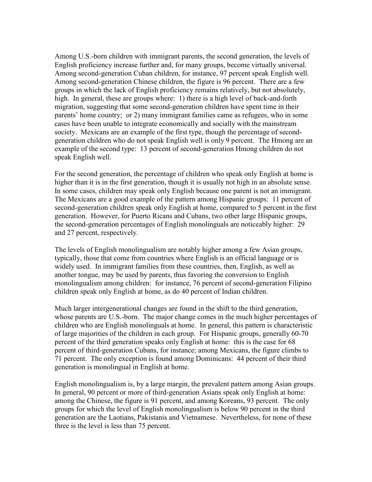Among U.S.-born children with immigrant parents, the second generation, the levels of English proficiency increase further and, for many groups, become virtually universal. Among second-generation Cuban children, for instance, 97 percent speak English well. Among second-generation Chinese children, the figure is 96 percent. There are a few groups in which the lack of English proficiency remains relatively, but not absolutely, high. In general, these are groups where: 1) there is a high level of back-and-forth migration, suggesting that some second-generation children have spent time in their parents' home country; or 2) many immigrant families came as refugees, who in some cases have been unable to integrate economically and socially with the mainstream society. Mexicans are an example of the first type, though the percentage of secondgeneration children who do not speak English well is only 9 percent. The Hmong are an example of the second type: 13 percent of second-generation Hmong children do not speak English well.

For the second generation, the percentage of children who speak only English at home is higher than it is in the first generation, though it is usually not high in an absolute sense. In some cases, children may speak only English because one parent is not an immigrant. The Mexicans are a good example of the pattern among Hispanic groups: 11 percent of second-generation children speak only English at home, compared to 5 percent in the first generation. However, for Puerto Ricans and Cubans, two other large Hispanic groups, the second-generation percentages of English monolinguals are noticeably higher: 29 and 27 percent, respectively.

The levels of English monolingualism are notably higher among a few Asian groups, typically, those that come from countries where English is an official language or is widely used. In immigrant families from these countries, then, English, as well as another tongue, may be used by parents, thus favoring the conversion to English monolingualism among children: for instance, 76 percent of second-generation Filipino children speak only English at home, as do 40 percent of Indian children.

Much larger intergenerational changes are found in the shift to the third generation, whose parents are U.S.-born. The major change comes in the much higher percentages of children who are English monolinguals at home. In general, this pattern is characteristic of large majorities of the children in each group. For Hispanic groups, generally 60-70 percent of the third generation speaks only English at home: this is the case for 68 percent of third-generation Cubans, for instance; among Mexicans, the figure climbs to 71 percent. The only exception is found among Dominicans: 44 percent of their third generation is monolingual in English at home.

English monolingualism is, by a large margin, the prevalent pattern among Asian groups. In general, 90 percent or more of third-generation Asians speak only English at home: among the Chinese, the figure is 91 percent, and among Koreans, 93 percent. The only groups for which the level of English monolingualism is below 90 percent in the third generation are the Laotians, Pakistanis and Vietnamese. Nevertheless, for none of these three is the level is less than 75 percent.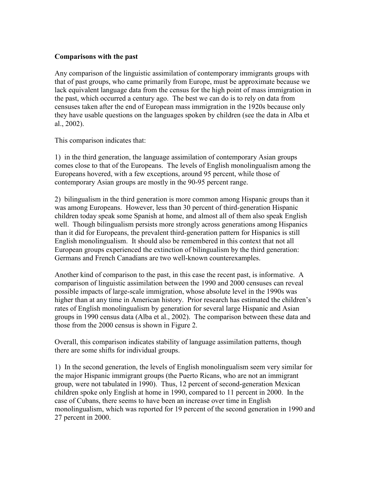### Comparisons with the past

Any comparison of the linguistic assimilation of contemporary immigrants groups with that of past groups, who came primarily from Europe, must be approximate because we lack equivalent language data from the census for the high point of mass immigration in the past, which occurred a century ago. The best we can do is to rely on data from censuses taken after the end of European mass immigration in the 1920s because only they have usable questions on the languages spoken by children (see the data in Alba et al., 2002).

This comparison indicates that:

1) in the third generation, the language assimilation of contemporary Asian groups comes close to that of the Europeans. The levels of English monolingualism among the Europeans hovered, with a few exceptions, around 95 percent, while those of contemporary Asian groups are mostly in the 90-95 percent range.

2) bilingualism in the third generation is more common among Hispanic groups than it was among Europeans. However, less than 30 percent of third-generation Hispanic children today speak some Spanish at home, and almost all of them also speak English well. Though bilingualism persists more strongly across generations among Hispanics than it did for Europeans, the prevalent third-generation pattern for Hispanics is still English monolingualism. It should also be remembered in this context that not all European groups experienced the extinction of bilingualism by the third generation: Germans and French Canadians are two well-known counterexamples.

Another kind of comparison to the past, in this case the recent past, is informative. A comparison of linguistic assimilation between the 1990 and 2000 censuses can reveal possible impacts of large-scale immigration, whose absolute level in the 1990s was higher than at any time in American history. Prior research has estimated the children's rates of English monolingualism by generation for several large Hispanic and Asian groups in 1990 census data (Alba et al., 2002). The comparison between these data and those from the 2000 census is shown in Figure 2.

Overall, this comparison indicates stability of language assimilation patterns, though there are some shifts for individual groups.

1) In the second generation, the levels of English monolingualism seem very similar for the major Hispanic immigrant groups (the Puerto Ricans, who are not an immigrant group, were not tabulated in 1990). Thus, 12 percent of second-generation Mexican children spoke only English at home in 1990, compared to 11 percent in 2000. In the case of Cubans, there seems to have been an increase over time in English monolingualism, which was reported for 19 percent of the second generation in 1990 and 27 percent in 2000.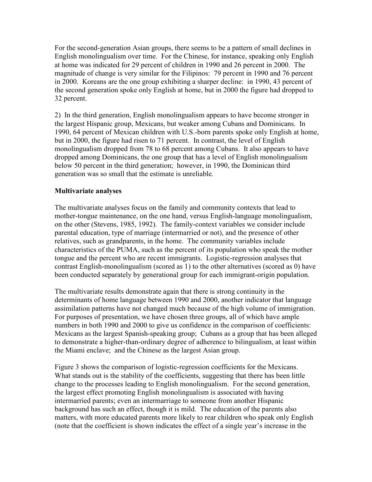For the second-generation Asian groups, there seems to be a pattern of small declines in English monolingualism over time. For the Chinese, for instance, speaking only English at home was indicated for 29 percent of children in 1990 and 26 percent in 2000. The magnitude of change is very similar for the Filipinos: 79 percent in 1990 and 76 percent in 2000. Koreans are the one group exhibiting a sharper decline: in 1990, 43 percent of the second generation spoke only English at home, but in 2000 the figure had dropped to 32 percent.

2) In the third generation, English monolingualism appears to have become stronger in the largest Hispanic group, Mexicans, but weaker among Cubans and Dominicans. In 1990, 64 percent of Mexican children with U.S.-born parents spoke only English at home, but in 2000, the figure had risen to 71 percent. In contrast, the level of English monolingualism dropped from 78 to 68 percent among Cubans. It also appears to have dropped among Dominicans, the one group that has a level of English monolingualism below 50 percent in the third generation; however, in 1990, the Dominican third generation was so small that the estimate is unreliable.

# Multivariate analyses

The multivariate analyses focus on the family and community contexts that lead to mother-tongue maintenance, on the one hand, versus English-language monolingualism, on the other (Stevens, 1985, 1992). The family-context variables we consider include parental education, type of marriage (intermarried or not), and the presence of other relatives, such as grandparents, in the home. The community variables include characteristics of the PUMA, such as the percent of its population who speak the mother tongue and the percent who are recent immigrants. Logistic-regression analyses that contrast English-monolingualism (scored as 1) to the other alternatives (scored as 0) have been conducted separately by generational group for each immigrant-origin population.

The multivariate results demonstrate again that there is strong continuity in the determinants of home language between 1990 and 2000, another indicator that language assimilation patterns have not changed much because of the high volume of immigration. For purposes of presentation, we have chosen three groups, all of which have ample numbers in both 1990 and 2000 to give us confidence in the comparison of coefficients: Mexicans as the largest Spanish-speaking group; Cubans as a group that has been alleged to demonstrate a higher-than-ordinary degree of adherence to bilingualism, at least within the Miami enclave; and the Chinese as the largest Asian group.

Figure 3 shows the comparison of logistic-regression coefficients for the Mexicans. What stands out is the stability of the coefficients, suggesting that there has been little change to the processes leading to English monolingualism. For the second generation, the largest effect promoting English monolingualism is associated with having intermarried parents; even an intermarriage to someone from another Hispanic background has such an effect, though it is mild. The education of the parents also matters, with more educated parents more likely to rear children who speak only English (note that the coefficient is shown indicates the effect of a single year's increase in the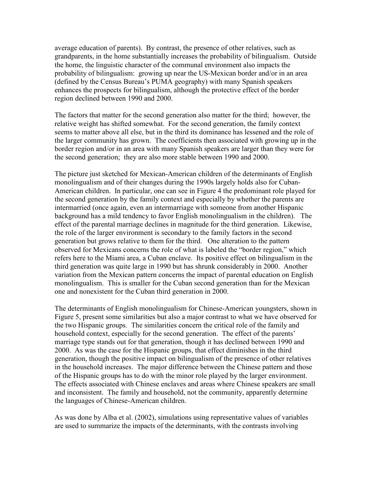average education of parents). By contrast, the presence of other relatives, such as grandparents, in the home substantially increases the probability of bilingualism. Outside the home, the linguistic character of the communal environment also impacts the probability of bilingualism: growing up near the US-Mexican border and/or in an area (defined by the Census Bureau's PUMA geography) with many Spanish speakers enhances the prospects for bilingualism, although the protective effect of the border region declined between 1990 and 2000.

The factors that matter for the second generation also matter for the third; however, the relative weight has shifted somewhat. For the second generation, the family context seems to matter above all else, but in the third its dominance has lessened and the role of the larger community has grown. The coefficients then associated with growing up in the border region and/or in an area with many Spanish speakers are larger than they were for the second generation; they are also more stable between 1990 and 2000.

The picture just sketched for Mexican-American children of the determinants of English monolingualism and of their changes during the 1990s largely holds also for Cuban-American children. In particular, one can see in Figure 4 the predominant role played for the second generation by the family context and especially by whether the parents are intermarried (once again, even an intermarriage with someone from another Hispanic background has a mild tendency to favor English monolingualism in the children). The effect of the parental marriage declines in magnitude for the third generation. Likewise, the role of the larger environment is secondary to the family factors in the second generation but grows relative to them for the third. One alteration to the pattern observed for Mexicans concerns the role of what is labeled the "border region," which refers here to the Miami area, a Cuban enclave. Its positive effect on bilingualism in the third generation was quite large in 1990 but has shrunk considerably in 2000. Another variation from the Mexican pattern concerns the impact of parental education on English monolingualism. This is smaller for the Cuban second generation than for the Mexican one and nonexistent for the Cuban third generation in 2000.

The determinants of English monolingualism for Chinese-American youngsters, shown in Figure 5, present some similarities but also a major contrast to what we have observed for the two Hispanic groups. The similarities concern the critical role of the family and household context, especially for the second generation. The effect of the parents' marriage type stands out for that generation, though it has declined between 1990 and 2000. As was the case for the Hispanic groups, that effect diminishes in the third generation, though the positive impact on bilingualism of the presence of other relatives in the household increases. The major difference between the Chinese pattern and those of the Hispanic groups has to do with the minor role played by the larger environment. The effects associated with Chinese enclaves and areas where Chinese speakers are small and inconsistent. The family and household, not the community, apparently determine the languages of Chinese-American children.

As was done by Alba et al. (2002), simulations using representative values of variables are used to summarize the impacts of the determinants, with the contrasts involving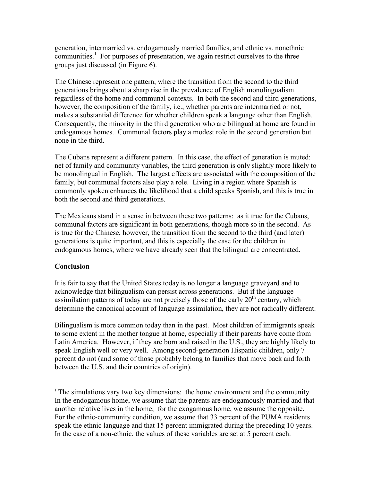generation, intermarried vs. endogamously married families, and ethnic vs. nonethnic communities.<sup>1</sup> For purposes of presentation, we again restrict ourselves to the three groups just discussed (in Figure 6).

The Chinese represent one pattern, where the transition from the second to the third generations brings about a sharp rise in the prevalence of English monolingualism regardless of the home and communal contexts. In both the second and third generations, however, the composition of the family, i.e., whether parents are intermarried or not, makes a substantial difference for whether children speak a language other than English. Consequently, the minority in the third generation who are bilingual at home are found in endogamous homes. Communal factors play a modest role in the second generation but none in the third.

The Cubans represent a different pattern. In this case, the effect of generation is muted: net of family and community variables, the third generation is only slightly more likely to be monolingual in English. The largest effects are associated with the composition of the family, but communal factors also play a role. Living in a region where Spanish is commonly spoken enhances the likelihood that a child speaks Spanish, and this is true in both the second and third generations.

The Mexicans stand in a sense in between these two patterns: as it true for the Cubans, communal factors are significant in both generations, though more so in the second. As is true for the Chinese, however, the transition from the second to the third (and later) generations is quite important, and this is especially the case for the children in endogamous homes, where we have already seen that the bilingual are concentrated.

# **Conclusion**

 $\overline{a}$ 

It is fair to say that the United States today is no longer a language graveyard and to acknowledge that bilingualism can persist across generations. But if the language assimilation patterns of today are not precisely those of the early  $20<sup>th</sup>$  century, which determine the canonical account of language assimilation, they are not radically different.

Bilingualism is more common today than in the past. Most children of immigrants speak to some extent in the mother tongue at home, especially if their parents have come from Latin America. However, if they are born and raised in the U.S., they are highly likely to speak English well or very well. Among second-generation Hispanic children, only 7 percent do not (and some of those probably belong to families that move back and forth between the U.S. and their countries of origin).

<sup>&</sup>lt;sup>1</sup> The simulations vary two key dimensions: the home environment and the community. In the endogamous home, we assume that the parents are endogamously married and that another relative lives in the home; for the exogamous home, we assume the opposite. For the ethnic-community condition, we assume that 33 percent of the PUMA residents speak the ethnic language and that 15 percent immigrated during the preceding 10 years. In the case of a non-ethnic, the values of these variables are set at 5 percent each.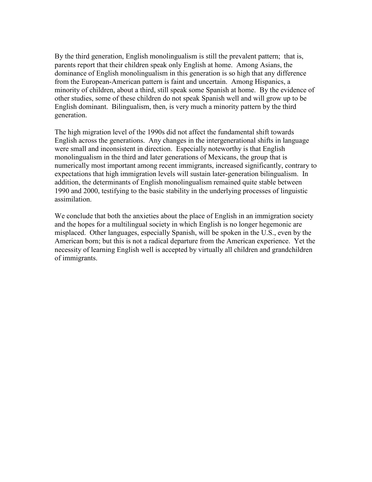By the third generation, English monolingualism is still the prevalent pattern; that is, parents report that their children speak only English at home. Among Asians, the dominance of English monolingualism in this generation is so high that any difference from the European-American pattern is faint and uncertain. Among Hispanics, a minority of children, about a third, still speak some Spanish at home. By the evidence of other studies, some of these children do not speak Spanish well and will grow up to be English dominant. Bilingualism, then, is very much a minority pattern by the third generation.

The high migration level of the 1990s did not affect the fundamental shift towards English across the generations. Any changes in the intergenerational shifts in language were small and inconsistent in direction. Especially noteworthy is that English monolingualism in the third and later generations of Mexicans, the group that is numerically most important among recent immigrants, increased significantly, contrary to expectations that high immigration levels will sustain later-generation bilingualism. In addition, the determinants of English monolingualism remained quite stable between 1990 and 2000, testifying to the basic stability in the underlying processes of linguistic assimilation.

We conclude that both the anxieties about the place of English in an immigration society and the hopes for a multilingual society in which English is no longer hegemonic are misplaced. Other languages, especially Spanish, will be spoken in the U.S., even by the American born; but this is not a radical departure from the American experience. Yet the necessity of learning English well is accepted by virtually all children and grandchildren of immigrants.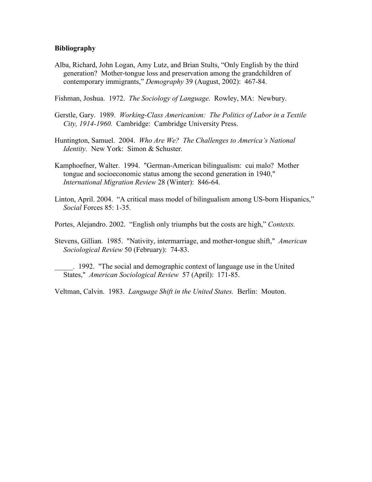### Bibliography

Alba, Richard, John Logan, Amy Lutz, and Brian Stults, "Only English by the third generation? Mother-tongue loss and preservation among the grandchildren of contemporary immigrants," Demography 39 (August, 2002): 467-84.

Fishman, Joshua. 1972. The Sociology of Language. Rowley, MA: Newbury.

- Gerstle, Gary. 1989. Working-Class Americanism: The Politics of Labor in a Textile City, 1914-1960. Cambridge: Cambridge University Press.
- Huntington, Samuel. 2004. Who Are We? The Challenges to America's National Identity. New York: Simon & Schuster.
- Kamphoefner, Walter. 1994. "German-American bilingualism: cui malo? Mother tongue and socioeconomic status among the second generation in 1940," International Migration Review 28 (Winter): 846-64.
- Linton, April. 2004. "A critical mass model of bilingualism among US-born Hispanics," Social Forces 85: 1-35.

Portes, Alejandro. 2002. "English only triumphs but the costs are high," Contexts.

Stevens, Gillian. 1985. "Nativity, intermarriage, and mother-tongue shift," American Sociological Review 50 (February): 74-83.

\_\_\_\_\_. 1992. "The social and demographic context of language use in the United States," American Sociological Review 57 (April): 171-85.

Veltman, Calvin. 1983. Language Shift in the United States. Berlin: Mouton.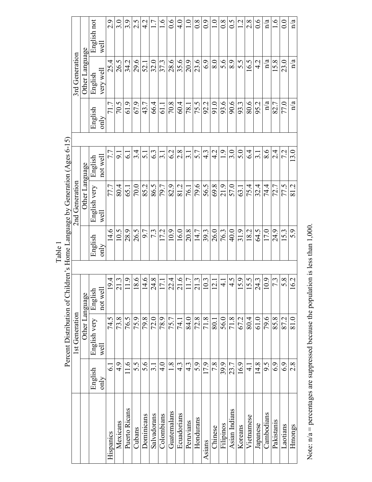Note:  $n/a$  = percentages are suppressed because the population is less than 1,000. Note:  $n/a$  = percentages are suppressed because the population is less than 1,000.

 $\check{C}$ Á Table 1<br>r'<sup>e</sup> Homa I ou  $f$   $C$ hildr $\epsilon$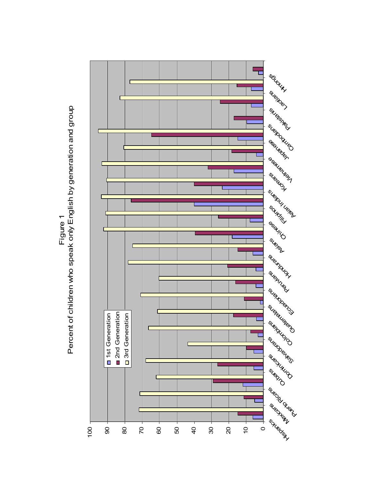

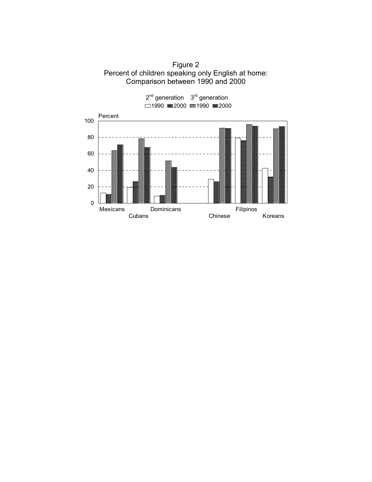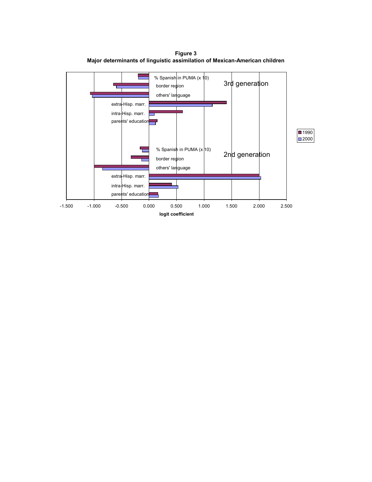

Figure 3 Major determinants of linguistic assimilation of Mexican-American children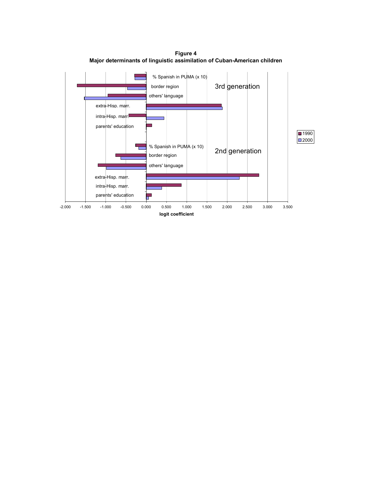

Figure 4 Major determinants of linguistic assimilation of Cuban-American children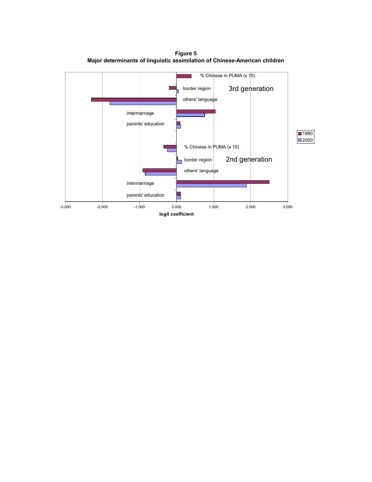Figure 5 Major determinants of linguistic assimilation of Chinese-American children